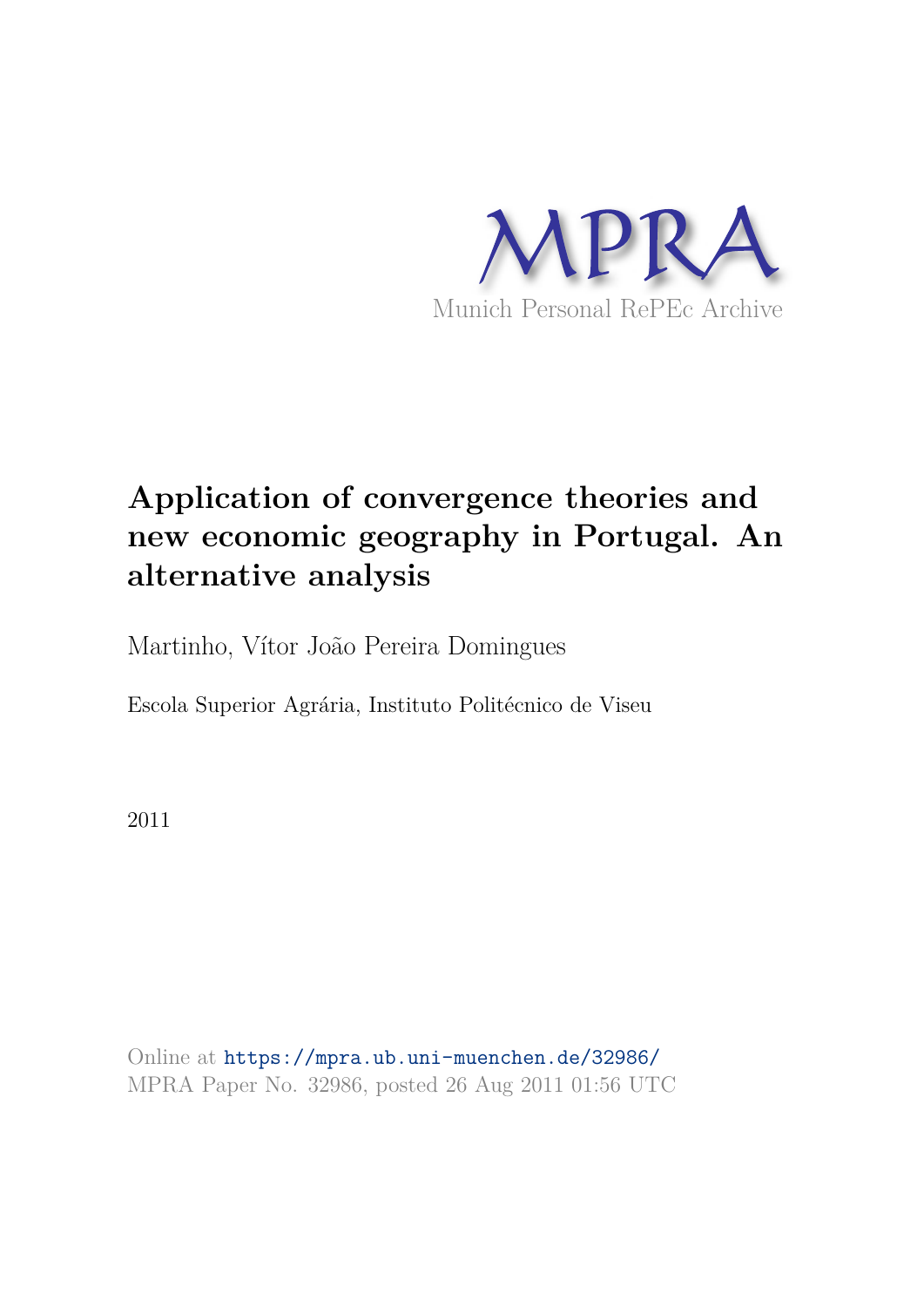

# **Application of convergence theories and new economic geography in Portugal. An alternative analysis**

Martinho, Vítor João Pereira Domingues

Escola Superior Agrária, Instituto Politécnico de Viseu

2011

Online at https://mpra.ub.uni-muenchen.de/32986/ MPRA Paper No. 32986, posted 26 Aug 2011 01:56 UTC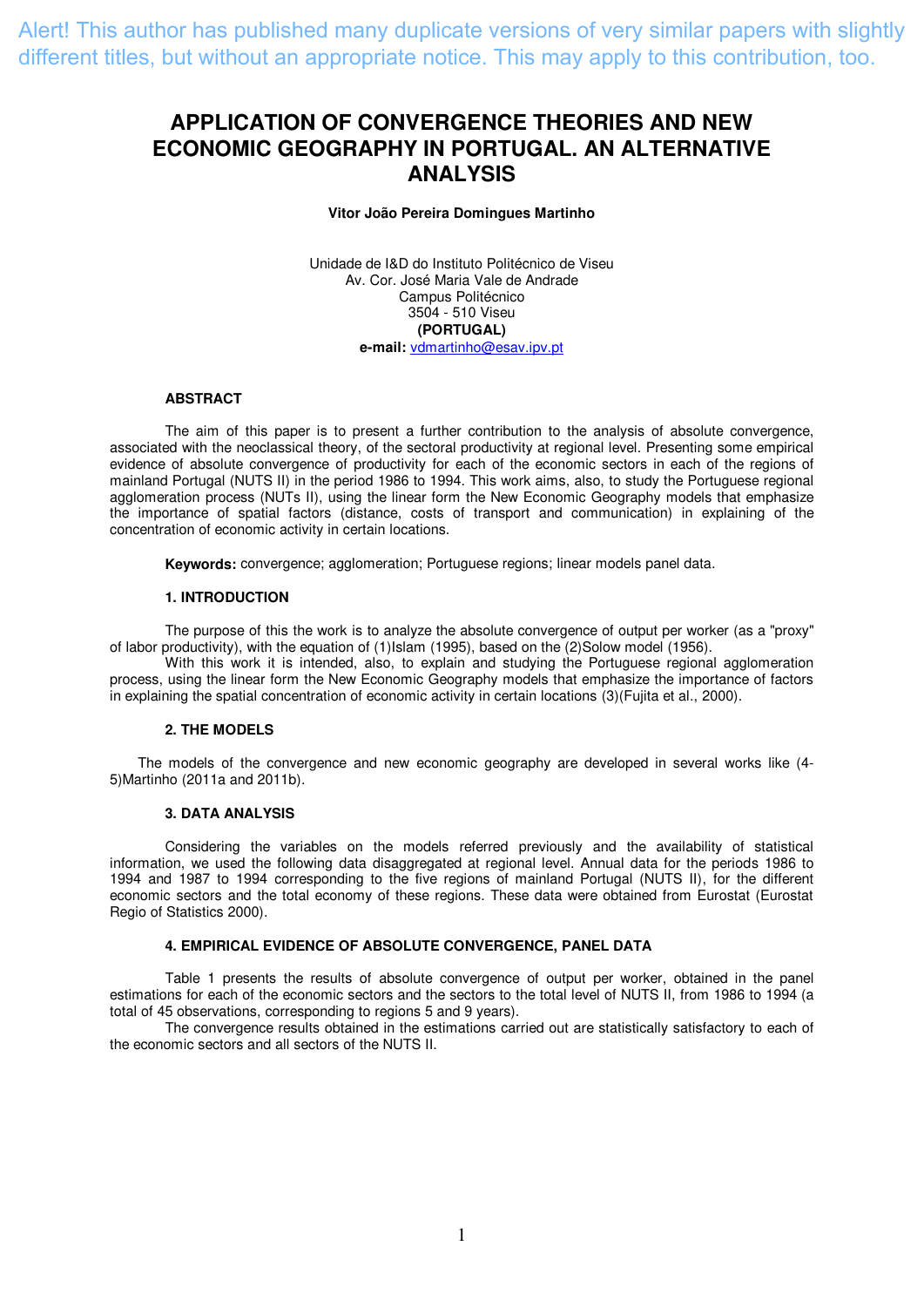## **APPLICATION OF CONVERGENCE THEORIES AND NEW ECONOMIC GEOGRAPHY IN PORTUGAL. AN ALTERNATIVE ANALYSIS**

**Vitor João Pereira Domingues Martinho** 

Unidade de I&D do Instituto Politécnico de Viseu Av. Cor. José Maria Vale de Andrade Campus Politécnico 3504 - 510 Viseu **(PORTUGAL) e-mail:** [vdmartinho@esav.ipv.pt](mailto:vdmartinho@esav.ipv.pt)

### **ABSTRACT**

The aim of this paper is to present a further contribution to the analysis of absolute convergence, associated with the neoclassical theory, of the sectoral productivity at regional level. Presenting some empirical evidence of absolute convergence of productivity for each of the economic sectors in each of the regions of mainland Portugal (NUTS II) in the period 1986 to 1994. This work aims, also, to study the Portuguese regional agglomeration process (NUTs II), using the linear form the New Economic Geography models that emphasize the importance of spatial factors (distance, costs of transport and communication) in explaining of the concentration of economic activity in certain locations.

**Keywords:** convergence; agglomeration; Portuguese regions; linear models panel data.

#### **1. INTRODUCTION**

The purpose of this the work is to analyze the absolute convergence of output per worker (as a "proxy" of labor productivity), with the equation of (1)Islam (1995), based on the (2)Solow model (1956).

With this work it is intended, also, to explain and studying the Portuguese regional agglomeration process, using the linear form the New Economic Geography models that emphasize the importance of factors in explaining the spatial concentration of economic activity in certain locations (3)(Fujita et al., 2000).

#### **2. THE MODELS**

The models of the convergence and new economic geography are developed in several works like (4- 5)Martinho (2011a and 2011b).

#### **3. DATA ANALYSIS**

Considering the variables on the models referred previously and the availability of statistical information, we used the following data disaggregated at regional level. Annual data for the periods 1986 to 1994 and 1987 to 1994 corresponding to the five regions of mainland Portugal (NUTS II), for the different economic sectors and the total economy of these regions. These data were obtained from Eurostat (Eurostat Regio of Statistics 2000).

#### **4. EMPIRICAL EVIDENCE OF ABSOLUTE CONVERGENCE, PANEL DATA**

Table 1 presents the results of absolute convergence of output per worker, obtained in the panel estimations for each of the economic sectors and the sectors to the total level of NUTS II, from 1986 to 1994 (a total of 45 observations, corresponding to regions 5 and 9 years).

The convergence results obtained in the estimations carried out are statistically satisfactory to each of the economic sectors and all sectors of the NUTS II.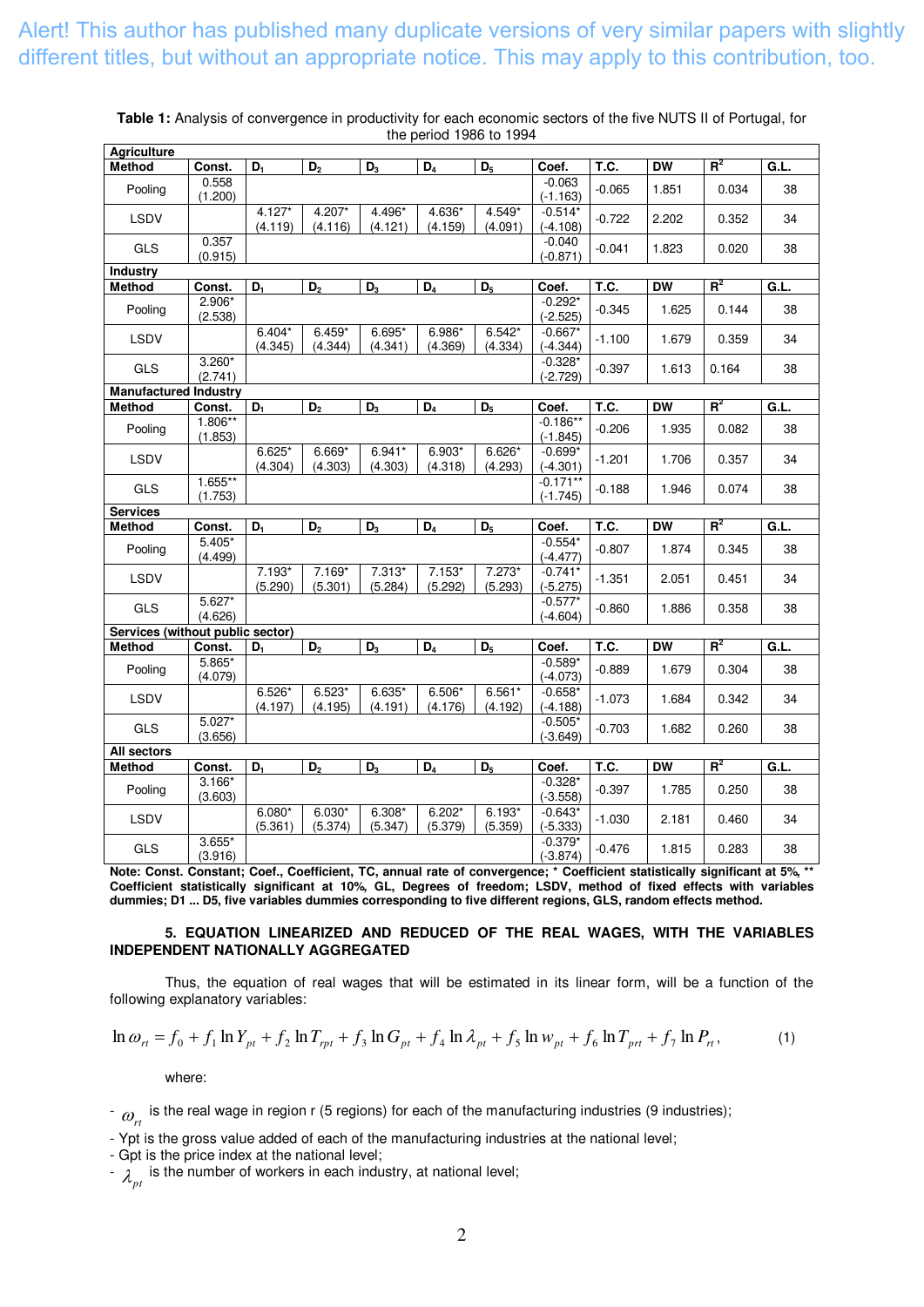| <b>Agriculture</b>               |                       |                     |                     |                           |                     |                     |                          |          |           |       |      |
|----------------------------------|-----------------------|---------------------|---------------------|---------------------------|---------------------|---------------------|--------------------------|----------|-----------|-------|------|
| <b>Method</b>                    | Const.                | $D_1$               | D <sub>2</sub>      | $D_3$                     | $D_4$               | $D_5$               | Coef.                    | T.C.     | <b>DW</b> | $R^2$ | G.L. |
| Pooling                          | 0.558<br>(1.200)      |                     |                     |                           |                     |                     | $-0.063$<br>$(-1.163)$   | $-0.065$ | 1.851     | 0.034 | 38   |
| LSDV                             |                       | $4.127*$<br>(4.119) | 4.207*<br>(4.116)   | 4.496*<br>(4.121)         | 4.636*<br>(4.159)   | 4.549*<br>(4.091)   | $-0.514*$<br>$(-4.108)$  | $-0.722$ | 2.202     | 0.352 | 34   |
| GLS                              | 0.357<br>(0.915)      |                     |                     |                           |                     |                     | $-0.040$<br>$(-0.871)$   | $-0.041$ | 1.823     | 0.020 | 38   |
| Industry                         |                       |                     |                     |                           |                     |                     |                          |          |           |       |      |
| <b>Method</b>                    | Const.                | $D_1$               | D <sub>2</sub>      | $\overline{D_3}$          | $\overline{D_4}$    | $\overline{D_5}$    | Coef.                    | T.C.     | <b>DW</b> | $R^2$ | G.L. |
| Pooling                          | 2.906*<br>(2.538)     |                     |                     |                           |                     |                     | $-0.292*$<br>$(-2.525)$  | $-0.345$ | 1.625     | 0.144 | 38   |
| <b>LSDV</b>                      |                       | $6.404*$<br>(4.345) | $6.459*$<br>(4.344) | 6.695*<br>(4.341)         | 6.986*<br>(4.369)   | $6.542*$<br>(4.334) | $-0.667*$<br>$(-4.344)$  | $-1.100$ | 1.679     | 0.359 | 34   |
| GLS                              | $3.260*$<br>(2.741)   |                     |                     |                           |                     |                     | $-0.328*$<br>$(-2.729)$  | $-0.397$ | 1.613     | 0.164 | 38   |
| <b>Manufactured Industry</b>     |                       |                     |                     |                           |                     |                     |                          |          |           |       |      |
| <b>Method</b>                    | Const.                | $D_1$               | D <sub>2</sub>      | $\overline{D_3}$          | $\overline{D_4}$    | $D_5$               | Coef.                    | T.C.     | <b>DW</b> | $R^2$ | G.L. |
| Pooling                          | $1.806***$<br>(1.853) |                     |                     |                           |                     |                     | $-0.186**$<br>$(-1.845)$ | $-0.206$ | 1.935     | 0.082 | 38   |
| LSDV                             |                       | $6.625*$<br>(4.304) | 6.669*<br>(4.303)   | $6.941*$<br>(4.303)       | 6.903*<br>(4.318)   | 6.626*<br>(4.293)   | $-0.699*$<br>$(-4.301)$  | $-1.201$ | 1.706     | 0.357 | 34   |
| <b>GLS</b>                       | 1.655**<br>(1.753)    |                     |                     |                           |                     |                     | $-0.171**$<br>$(-1.745)$ | $-0.188$ | 1.946     | 0.074 | 38   |
| <b>Services</b>                  |                       |                     |                     |                           |                     |                     |                          |          |           |       |      |
| Method                           | Const.                | $D_1$               | $\overline{D_2}$    | $\overline{D_3}$          | $\overline{D_4}$    | $\overline{D_5}$    | Coef.                    | T.C.     | <b>DW</b> | $R^2$ | G.L. |
| Pooling                          | $5.405*$<br>(4.499)   |                     |                     |                           |                     |                     | $-0.554*$<br>(-4.477)    | $-0.807$ | 1.874     | 0.345 | 38   |
| LSDV                             |                       | 7.193*<br>(5.290)   | 7.169*<br>(5.301)   | 7.313*<br>(5.284)         | $7.153*$<br>(5.292) | $7.273*$<br>(5.293) | $-0.741*$<br>$(-5.275)$  | $-1.351$ | 2.051     | 0.451 | 34   |
| <b>GLS</b>                       | $5.627*$<br>(4.626)   |                     |                     |                           |                     |                     | $-0.577*$<br>$(-4.604)$  | $-0.860$ | 1.886     | 0.358 | 38   |
| Services (without public sector) |                       |                     |                     |                           |                     |                     |                          |          |           |       |      |
| <b>Method</b>                    | Const.                | $D_1$               | $\overline{D}_2$    | $\overline{\mathsf{D}_3}$ | $\overline{D_4}$    | $D_5$               | Coef.                    | T.C.     | <b>DW</b> | $R^2$ | G.L. |
| Pooling                          | 5.865*<br>(4.079)     |                     |                     |                           |                     |                     | $-0.589*$<br>$(-4.073)$  | $-0.889$ | 1.679     | 0.304 | 38   |
| LSDV                             |                       | $6.526*$<br>(4.197) | $6.523*$<br>(4.195) | $6.635*$<br>(4.191)       | 6.506*<br>(4.176)   | $6.561*$<br>(4.192) | $-0.658*$<br>$(-4.188)$  | $-1.073$ | 1.684     | 0.342 | 34   |
| GLS                              | $5.027*$<br>(3.656)   |                     |                     |                           |                     |                     | $-0.505*$<br>$(-3.649)$  | $-0.703$ | 1.682     | 0.260 | 38   |
| <b>All sectors</b>               |                       |                     |                     |                           |                     |                     |                          |          |           |       |      |
| <b>Method</b>                    | Const.                | $D_1$               | D <sub>2</sub>      | $\overline{D_3}$          | $\overline{D_4}$    | $\overline{D_5}$    | Coef.                    | T.C.     | <b>DW</b> | $R^2$ | G.L. |
| Pooling                          | $3.166*$<br>(3.603)   |                     |                     |                           |                     |                     | $-0.328*$<br>$(-3.558)$  | $-0.397$ | 1.785     | 0.250 | 38   |
| LSDV                             |                       | $6.080*$<br>(5.361) | $6.030*$<br>(5.374) | $6.308*$<br>(5.347)       | $6.202*$<br>(5.379) | $6.193*$<br>(5.359) | $-0.643*$<br>$(-5.333)$  | $-1.030$ | 2.181     | 0.460 | 34   |
| GLS                              | $3.655*$<br>(3.916)   |                     |                     |                           |                     |                     | $-0.379*$<br>$(-3.874)$  | $-0.476$ | 1.815     | 0.283 | 38   |

**Table 1:** Analysis of convergence in productivity for each economic sectors of the five NUTS II of Portugal, for the period 1986 to 1994

**Note: Const. Constant; Coef., Coefficient, TC, annual rate of convergence; \* Coefficient statistically significant at 5%, \*\* Coefficient statistically significant at 10%, GL, Degrees of freedom; LSDV, method of fixed effects with variables dummies; D1 ... D5, five variables dummies corresponding to five different regions, GLS, random effects method.**

### **5. EQUATION LINEARIZED AND REDUCED OF THE REAL WAGES, WITH THE VARIABLES INDEPENDENT NATIONALLY AGGREGATED**

Thus, the equation of real wages that will be estimated in its linear form, will be a function of the following explanatory variables:

$$
\ln \omega_{rt} = f_0 + f_1 \ln Y_{pt} + f_2 \ln T_{rpt} + f_3 \ln G_{pt} + f_4 \ln \lambda_{pt} + f_5 \ln w_{pt} + f_6 \ln T_{prt} + f_7 \ln P_{rt},
$$
\n(1)

where:

 $\omega_{rt}$  is the real wage in region r (5 regions) for each of the manufacturing industries (9 industries);

- Ypt is the gross value added of each of the manufacturing industries at the national level;

- Gpt is the price index at the national level;

-  $\lambda_{\tiny{pt}}^{\tiny{\text{}}}$  is the number of workers in each industry, at national level;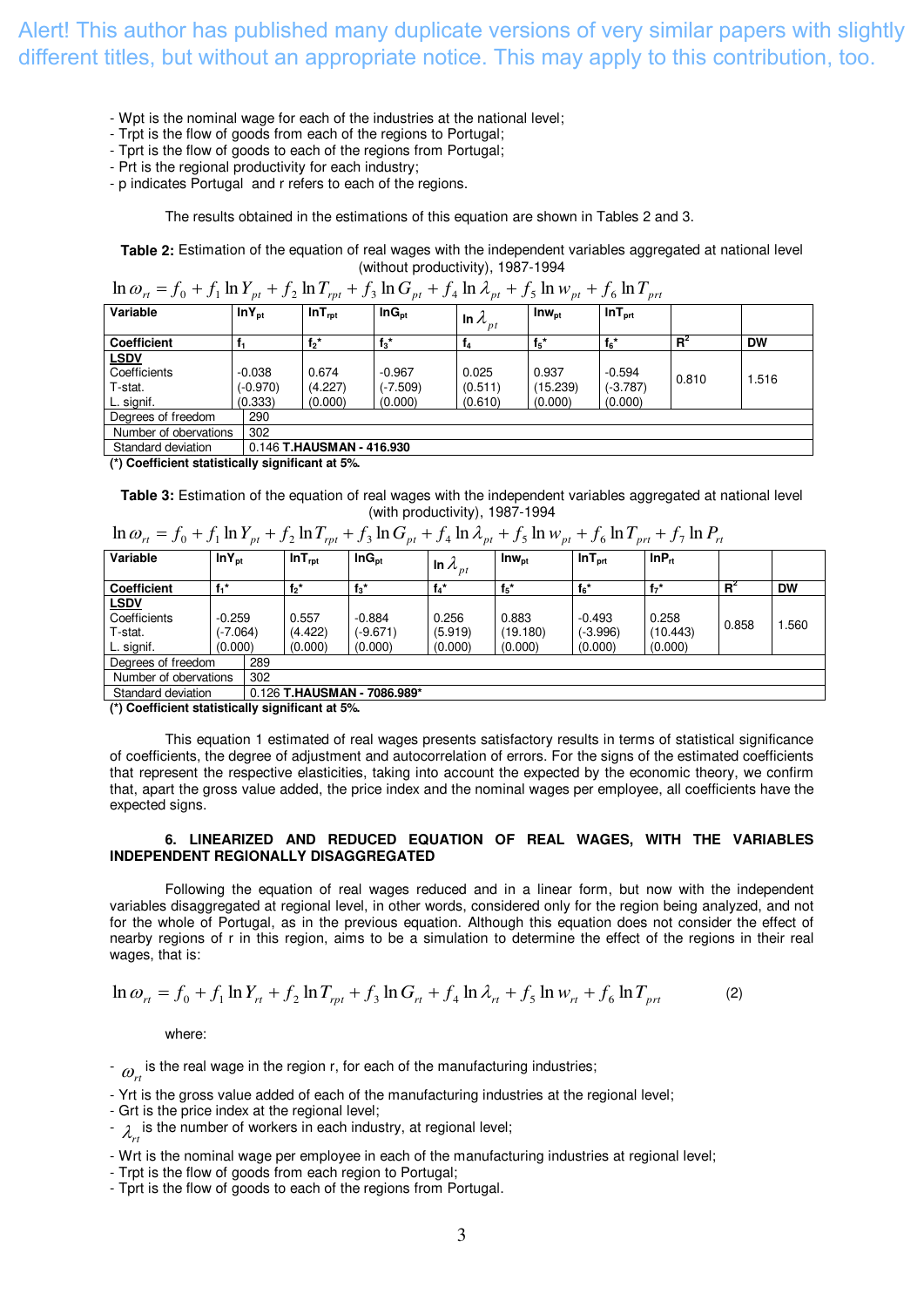- Wpt is the nominal wage for each of the industries at the national level;
- Trpt is the flow of goods from each of the regions to Portugal;
- Tprt is the flow of goods to each of the regions from Portugal;
- Prt is the regional productivity for each industry;
- p indicates Portugal and r refers to each of the regions.

The results obtained in the estimations of this equation are shown in Tables 2 and 3.

**Table 2:** Estimation of the equation of real wages with the independent variables aggregated at national level (without productivity), 1987-1994

| $\ln \omega_{rt} = f_0 + f_1 \ln Y_{pt} + f_2 \ln T_{rpt} + f_3 \ln G_{pt} + f_4 \ln \lambda_{pt} + f_5 \ln w_{pt} + f_6 \ln T_{prt}$ |            |                        |                   |                                      |                         |                    |       |       |  |  |
|---------------------------------------------------------------------------------------------------------------------------------------|------------|------------------------|-------------------|--------------------------------------|-------------------------|--------------------|-------|-------|--|--|
| Variable                                                                                                                              | $lnY_{nt}$ | $InT_{rot}$            | $InG_{\text{nt}}$ | In $\lambda_{\scriptscriptstyle pt}$ | $\mathsf{Inv}_{\sf nt}$ | $InT_{\text{ort}}$ |       |       |  |  |
| <b>Coefficient</b>                                                                                                                    |            | $f_2^*$                | $f_3$ *           | T4                                   | $f_5$ *                 | $f_6*$             | $R^2$ | DW    |  |  |
| <b>LSDV</b>                                                                                                                           |            |                        |                   |                                      |                         |                    |       |       |  |  |
| Coefficients                                                                                                                          | $-0.038$   | 0.674                  | $-0.967$          | 0.025                                | 0.937                   | $-0.594$           | 0.810 | 1.516 |  |  |
| T-stat.                                                                                                                               | (-0.970)   | (4.227)                | $(-7.509)$        | (0.511)                              | (15.239)                | $(-3.787)$         |       |       |  |  |
| L. signif.                                                                                                                            | (0.333)    | (0.000)                | (0.000)           | (0.610)                              | (0.000)                 | (0.000)            |       |       |  |  |
| Degrees of freedom                                                                                                                    | 290        |                        |                   |                                      |                         |                    |       |       |  |  |
| Number of obervations                                                                                                                 | 302        |                        |                   |                                      |                         |                    |       |       |  |  |
| Characteristic distributions                                                                                                          |            | $0.440 \pm 1141001441$ | $\sim$ 0.000      |                                      |                         |                    |       |       |  |  |

Standard deviation 0.146 **T.HAUSMAN - 416.930**

**(\*) Coefficient statistically significant at 5%.**

**Table 3:** Estimation of the equation of real wages with the independent variables aggregated at national level (with productivity), 1987-1994

| $\ln \omega_{rt} = f_0 + f_1 \ln Y_{pt} + f_2 \ln T_{rpt} + f_3 \ln G_{pt} + f_4 \ln \lambda_{pt} + f_5 \ln w_{pt} + f_6 \ln T_{prt} + f_7 \ln P_{rt}$ |  |
|--------------------------------------------------------------------------------------------------------------------------------------------------------|--|
|--------------------------------------------------------------------------------------------------------------------------------------------------------|--|

| . .                   |            | $\overline{\phantom{a}}$ | - -<br>$\cdots$    | . .<br>$\overline{\phantom{a}}$<br>$\overline{\phantom{a}}$ | $\overline{ }$    | $\overline{\phantom{a}}$ | $\cdots$           | .                 |       |           |
|-----------------------|------------|--------------------------|--------------------|-------------------------------------------------------------|-------------------|--------------------------|--------------------|-------------------|-------|-----------|
| Variable              | $InY_{pt}$ |                          | InT <sub>rot</sub> | $InG_{\text{pt}}$                                           | In $\lambda_{pt}$ | $\mathsf{Inv}_{\sf pt}$  | InT <sub>prt</sub> | InP <sub>rt</sub> |       |           |
| <b>Coefficient</b>    | f.*        |                          | $f_2^*$            | $f_3$ *                                                     | $f_4$             | ${f_5}^*$                | $f_6$ *            | $f_7$ *           | $R^2$ | <b>DW</b> |
| <b>LSDV</b>           |            |                          |                    |                                                             |                   |                          |                    |                   |       |           |
| Coefficients          | $-0.259$   |                          | 0.557              | $-0.884$                                                    | 0.256             | 0.883                    | $-0.493$           | 0.258             | 0.858 | .560      |
| T-stat.               | (-7.064)   |                          | (4.422)            | (-9.671)                                                    | (5.919)           | (19.180)                 | $(-3.996)$         | (10.443)          |       |           |
| L. signif.            | (0.000)    |                          | (0.000)            | (0.000)                                                     | (0.000)           | (0.000)                  | (0.000)            | (0.000)           |       |           |
| Degrees of freedom    | 289        |                          |                    |                                                             |                   |                          |                    |                   |       |           |
| Number of obervations |            | 302                      |                    |                                                             |                   |                          |                    |                   |       |           |
| Standard deviation    |            |                          |                    | 0.126 T.HAUSMAN - 7086.989*                                 |                   |                          |                    |                   |       |           |

**(\*) Coefficient statistically significant at 5%.**

 This equation 1 estimated of real wages presents satisfactory results in terms of statistical significance of coefficients, the degree of adjustment and autocorrelation of errors. For the signs of the estimated coefficients that represent the respective elasticities, taking into account the expected by the economic theory, we confirm that, apart the gross value added, the price index and the nominal wages per employee, all coefficients have the expected signs.

### **6. LINEARIZED AND REDUCED EQUATION OF REAL WAGES, WITH THE VARIABLES INDEPENDENT REGIONALLY DISAGGREGATED**

Following the equation of real wages reduced and in a linear form, but now with the independent variables disaggregated at regional level, in other words, considered only for the region being analyzed, and not for the whole of Portugal, as in the previous equation. Although this equation does not consider the effect of nearby regions of r in this region, aims to be a simulation to determine the effect of the regions in their real wages, that is:

$$
\ln \omega_{rt} = f_0 + f_1 \ln Y_{rt} + f_2 \ln T_{rpt} + f_3 \ln G_{rt} + f_4 \ln \lambda_{rt} + f_5 \ln w_{rt} + f_6 \ln T_{prt}
$$
 (2)

where:

 $r_{\alpha}$  is the real wage in the region r, for each of the manufacturing industries;

- Yrt is the gross value added of each of the manufacturing industries at the regional level;

- Grt is the price index at the regional level;

 $\lambda_{rt}$  is the number of workers in each industry, at regional level;

- Wrt is the nominal wage per employee in each of the manufacturing industries at regional level;

- Trpt is the flow of goods from each region to Portugal;

- Tprt is the flow of goods to each of the regions from Portugal.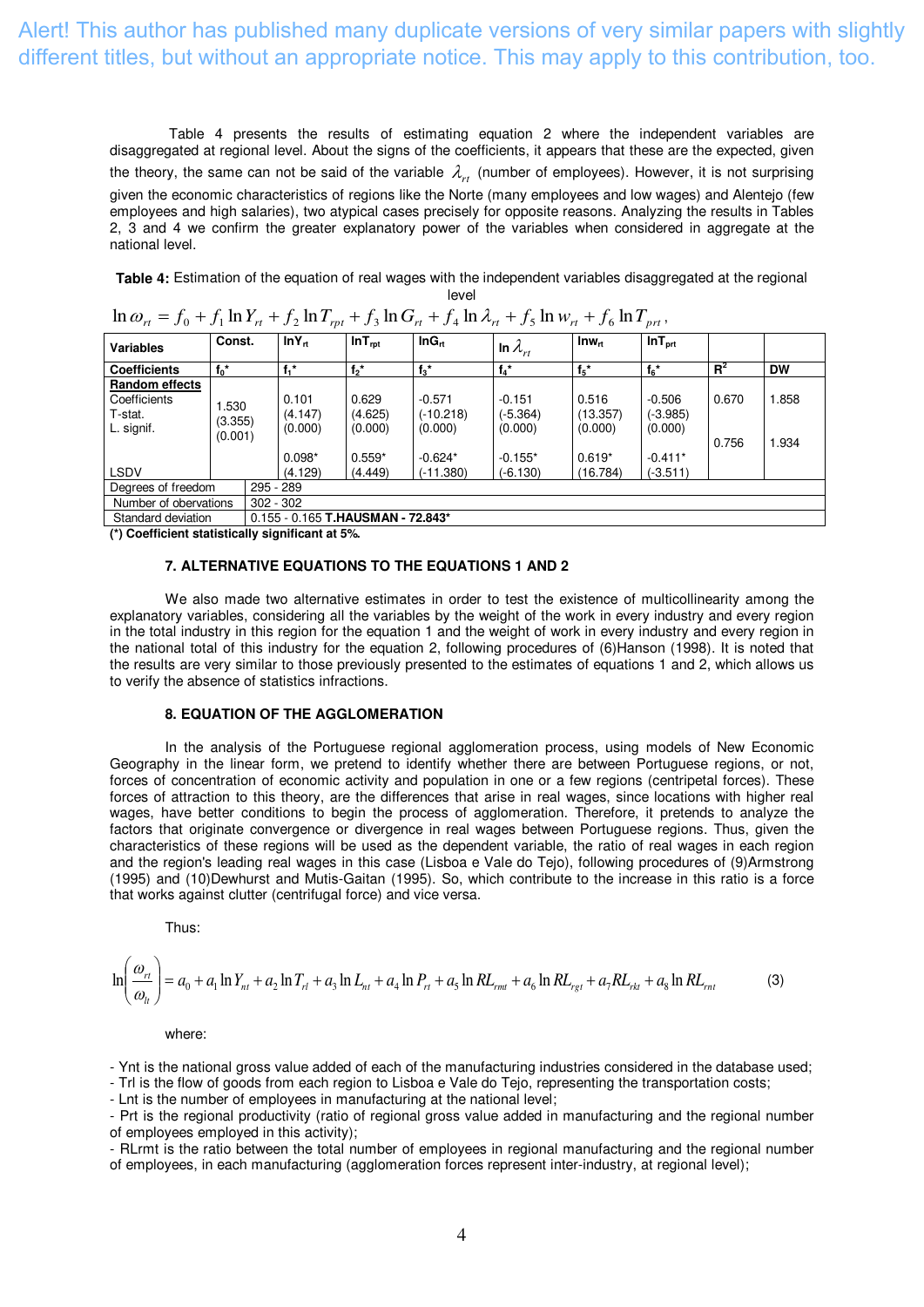Table 4 presents the results of estimating equation 2 where the independent variables are disaggregated at regional level. About the signs of the coefficients, it appears that these are the expected, given the theory, the same can not be said of the variable  $\lambda_{rt}$  (number of employees). However, it is not surprising given the economic characteristics of regions like the Norte (many employees and low wages) and Alentejo (few employees and high salaries), two atypical cases precisely for opposite reasons. Analyzing the results in Tables 2, 3 and 4 we confirm the greater explanatory power of the variables when considered in aggregate at the national level.

**Table 4:** Estimation of the equation of real wages with the independent variables disaggregated at the regional level

| <b>Variables</b>                                               | Const.                     | $lnY_n$                                 | InT <sub>rot</sub>                      | InG <sub>n</sub>                                | In $\lambda_{rt}$                              | $\mathsf{Inw}_n$                         | $InT_{\text{prt}}$                           |                |                |
|----------------------------------------------------------------|----------------------------|-----------------------------------------|-----------------------------------------|-------------------------------------------------|------------------------------------------------|------------------------------------------|----------------------------------------------|----------------|----------------|
| <b>Coefficients</b>                                            | $f_0^*$                    | $f_1$ *                                 | $f_2^*$                                 | $f_3$ *                                         | $f_4$ *                                        | $f_5$ *                                  | $f_6$ *                                      | $R^2$          | <b>DW</b>      |
| <b>Random effects</b><br>Coefficients<br>T-stat.<br>L. signif. | .530<br>(3.355)<br>(0.001) | 0.101<br>(4.147)<br>(0.000)<br>$0.098*$ | 0.629<br>(4.625)<br>(0.000)<br>$0.559*$ | $-0.571$<br>$(-10.218)$<br>(0.000)<br>$-0.624*$ | $-0.151$<br>$(-5.364)$<br>(0.000)<br>$-0.155*$ | 0.516<br>(13.357)<br>(0.000)<br>$0.619*$ | $-0.506$<br>(-3.985)<br>(0.000)<br>$-0.411*$ | 0.670<br>0.756 | 1.858<br>1.934 |
| <b>LSDV</b>                                                    |                            | (4.129)                                 | (4.449)                                 | $(-11.380)$                                     | $(-6.130)$                                     | (16.784)                                 | (-3.511)                                     |                |                |
| Degrees of freedom                                             |                            | 295 - 289                               |                                         |                                                 |                                                |                                          |                                              |                |                |
| Number of obervations                                          |                            | $302 - 302$                             |                                         |                                                 |                                                |                                          |                                              |                |                |
| Standard deviation                                             |                            | 0.155 - 0.165 T.HAUSMAN - 72.843*       |                                         |                                                 |                                                |                                          |                                              |                |                |

 $\ln \omega_{rt} = f_0 + f_1 \ln Y_{rt} + f_2 \ln T_{rpt} + f_3 \ln G_{rt} + f_4 \ln \lambda_{rt} + f_5 \ln w_{rt} + f_6 \ln T_{prt}$ 

**(\*) Coefficient statistically significant at 5%.**

#### **7. ALTERNATIVE EQUATIONS TO THE EQUATIONS 1 AND 2**

We also made two alternative estimates in order to test the existence of multicollinearity among the explanatory variables, considering all the variables by the weight of the work in every industry and every region in the total industry in this region for the equation 1 and the weight of work in every industry and every region in the national total of this industry for the equation 2, following procedures of (6)Hanson (1998). It is noted that the results are very similar to those previously presented to the estimates of equations 1 and 2, which allows us to verify the absence of statistics infractions.

#### **8. EQUATION OF THE AGGLOMERATION**

In the analysis of the Portuguese regional agglomeration process, using models of New Economic Geography in the linear form, we pretend to identify whether there are between Portuguese regions, or not, forces of concentration of economic activity and population in one or a few regions (centripetal forces). These forces of attraction to this theory, are the differences that arise in real wages, since locations with higher real wages, have better conditions to begin the process of agglomeration. Therefore, it pretends to analyze the factors that originate convergence or divergence in real wages between Portuguese regions. Thus, given the characteristics of these regions will be used as the dependent variable, the ratio of real wages in each region and the region's leading real wages in this case (Lisboa e Vale do Tejo), following procedures of (9)Armstrong (1995) and (10)Dewhurst and Mutis-Gaitan (1995). So, which contribute to the increase in this ratio is a force that works against clutter (centrifugal force) and vice versa.

Thus:

$$
\ln\left(\frac{\omega_{rt}}{\omega_{lt}}\right) = a_0 + a_1 \ln Y_{nt} + a_2 \ln T_{rl} + a_3 \ln L_{nt} + a_4 \ln P_{rt} + a_5 \ln R L_{rmt} + a_6 \ln R L_{rgt} + a_7 R L_{rkt} + a_8 \ln R L_{rmt}
$$
(3)

#### where:

- Ynt is the national gross value added of each of the manufacturing industries considered in the database used; - Trl is the flow of goods from each region to Lisboa e Vale do Tejo, representing the transportation costs;

- Lnt is the number of employees in manufacturing at the national level;

- Prt is the regional productivity (ratio of regional gross value added in manufacturing and the regional number of employees employed in this activity);

- RLrmt is the ratio between the total number of employees in regional manufacturing and the regional number of employees, in each manufacturing (agglomeration forces represent inter-industry, at regional level);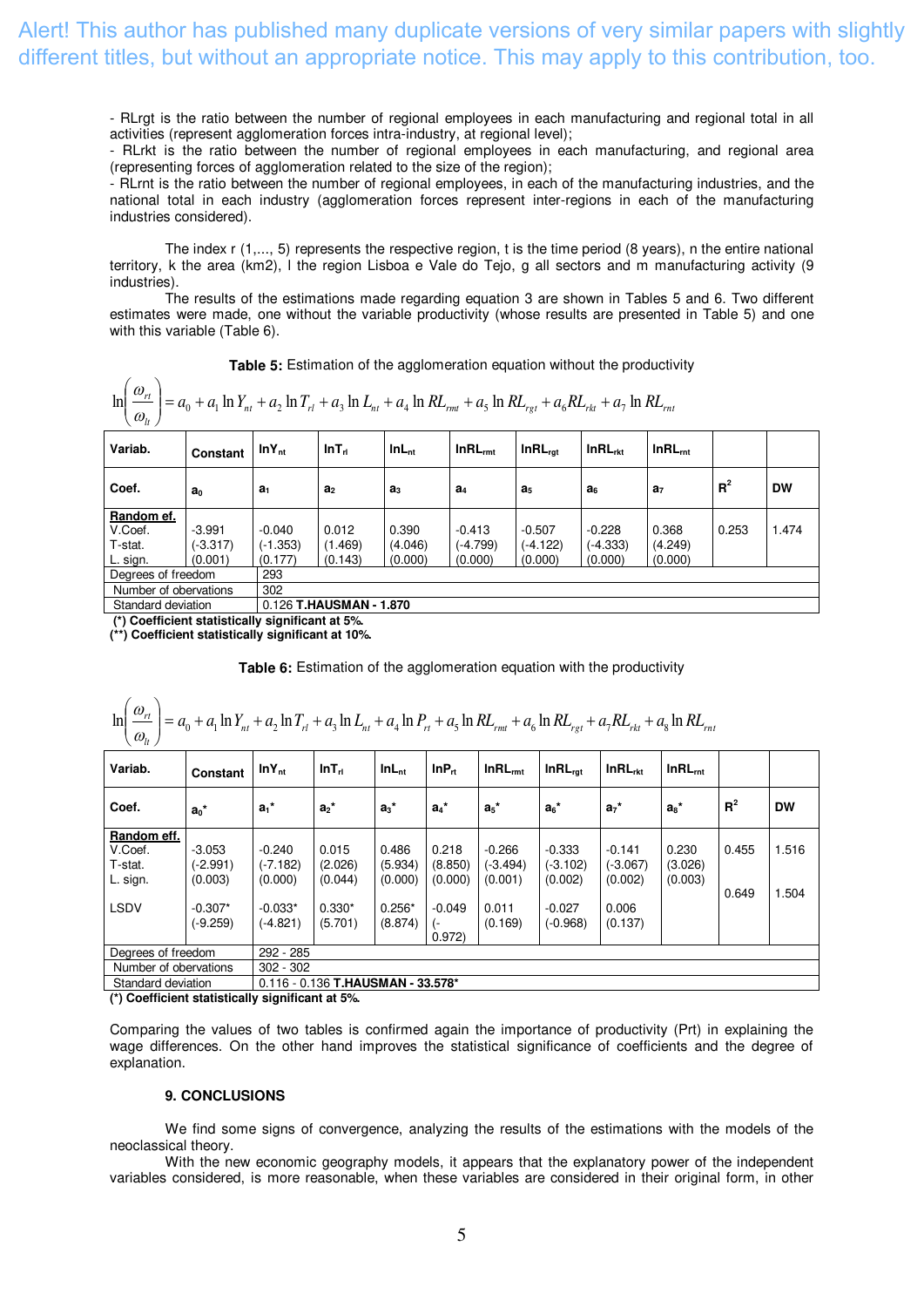- RLrgt is the ratio between the number of regional employees in each manufacturing and regional total in all activities (represent agglomeration forces intra-industry, at regional level);

- RLrkt is the ratio between the number of regional employees in each manufacturing, and regional area (representing forces of agglomeration related to the size of the region);

- RLrnt is the ratio between the number of regional employees, in each of the manufacturing industries, and the national total in each industry (agglomeration forces represent inter-regions in each of the manufacturing industries considered).

The index r (1,..., 5) represents the respective region, t is the time period (8 years), n the entire national territory, k the area (km2), l the region Lisboa e Vale do Tejo, g all sectors and m manufacturing activity (9 industries).

The results of the estimations made regarding equation 3 are shown in Tables 5 and 6. Two different estimates were made, one without the variable productivity (whose results are presented in Table 5) and one with this variable (Table 6).

**Table 5:** Estimation of the agglomeration equation without the productivity

$$
\ln\left(\frac{\omega_{rt}}{\omega_{lt}}\right) = a_0 + a_1 \ln Y_{nt} + a_2 \ln T_{rt} + a_3 \ln L_{nt} + a_4 \ln RL_{rmt} + a_5 \ln RL_{rgt} + a_6 RL_{rkt} + a_7 \ln RL_{rmt}
$$

| Variab.               | Constant       | $lnY_{nt}$     | InT <sub>rl</sub>       | InL <sub>nt</sub> | $InRL_{rmt}$   | $InRL_{rat}$   | InRL <sub>rtt</sub> | $InRL_{int}$   |       |           |  |  |
|-----------------------|----------------|----------------|-------------------------|-------------------|----------------|----------------|---------------------|----------------|-------|-----------|--|--|
| Coef.                 | a <sub>0</sub> | a <sub>1</sub> | a <sub>2</sub>          | a <sub>3</sub>    | a <sub>4</sub> | a <sub>5</sub> | а <sub>б</sub>      | a <sub>7</sub> | $R^2$ | <b>DW</b> |  |  |
| Random ef.            |                |                |                         |                   |                |                |                     |                |       |           |  |  |
| V.Coef.               | $-3.991$       | $-0.040$       | 0.012                   | 0.390             | $-0.413$       | $-0.507$       | $-0.228$            | 0.368          | 0.253 | .474      |  |  |
| T-stat.               | (-3.317)       | $(-1.353)$     | (1.469)                 | (4.046)           | (-4.799)       | $(-4.122)$     | (-4.333)            | (4.249)        |       |           |  |  |
| L. sign.              | (0.001)        | (0.177)        | (0.143)                 | (0.000)           | (0.000)        | (0.000)        | (0.000)             | (0.000)        |       |           |  |  |
| Degrees of freedom    |                | 293            |                         |                   |                |                |                     |                |       |           |  |  |
| Number of obervations |                | 302            |                         |                   |                |                |                     |                |       |           |  |  |
| Standard deviation    |                |                | 0.126 T.HAUSMAN - 1.870 |                   |                |                |                     |                |       |           |  |  |

 **(\*) Coefficient statistically significant at 5%. (\*\*) Coefficient statistically significant at 10%.** 

**Table 6:** Estimation of the agglomeration equation with the productivity

| $\ln\left(\frac{\omega_{rt}}{\omega_{lt}}\right) = a_0 + a_1 \ln Y_{nt} + a_2 \ln T_{rl} + a_3 \ln L_{nt} + a_4 \ln P_{rt} + a_5 \ln R L_{rmt} + a_6 \ln R L_{rgt} + a_7 R L_{rkt} + a_8 \ln R L_{rmt}$ |                                   |                                   |                                     |                             |                             |                                   |                                   |                                   |                             |                |                |  |
|---------------------------------------------------------------------------------------------------------------------------------------------------------------------------------------------------------|-----------------------------------|-----------------------------------|-------------------------------------|-----------------------------|-----------------------------|-----------------------------------|-----------------------------------|-----------------------------------|-----------------------------|----------------|----------------|--|
| Variab.                                                                                                                                                                                                 | Constant                          | $lnY_{nt}$                        | InT <sub>rl</sub>                   | $InL_{nt}$                  | InP <sub>n</sub>            | $InRL_{rmt}$                      | $InRL_{rat}$                      | InRL <sub>rkt</sub>               | InRL <sub>mt</sub>          |                |                |  |
| Coef.                                                                                                                                                                                                   | $a_0^*$                           | $a_1$ *                           | $a_2$ *                             | $a_3$ <sup>*</sup>          | $a_4$ *                     | $a_5$ *                           | $a_6$ *                           | $a_7$ *                           | $a_s$ *                     | R <sup>2</sup> | <b>DW</b>      |  |
| Random eff.<br>V.Coef.<br>T-stat.<br>L. sign.                                                                                                                                                           | $-3.053$<br>$(-2.991)$<br>(0.003) | $-0.240$<br>$(-7.182)$<br>(0.000) | 0.015<br>(2.026)<br>(0.044)         | 0.486<br>(5.934)<br>(0.000) | 0.218<br>(8.850)<br>(0.000) | $-0.266$<br>$(-3.494)$<br>(0.001) | $-0.333$<br>$(-3.102)$<br>(0.002) | $-0.141$<br>$(-3.067)$<br>(0.002) | 0.230<br>(3.026)<br>(0.003) | 0.455<br>0.649 | 1.516<br>1.504 |  |
| <b>LSDV</b>                                                                                                                                                                                             | $-0.307*$<br>$(-9.259)$           | $-0.033*$<br>$(-4.821)$           | $0.330*$<br>(5.701)                 | $0.256*$<br>(8.874)         | $-0.049$<br>0.972           | 0.011<br>(0.169)                  | $-0.027$<br>$(-0.968)$            | 0.006<br>(0.137)                  |                             |                |                |  |
| Degrees of freedom                                                                                                                                                                                      |                                   | 292 - 285                         |                                     |                             |                             |                                   |                                   |                                   |                             |                |                |  |
| Number of obervations                                                                                                                                                                                   |                                   | $302 - 302$                       |                                     |                             |                             |                                   |                                   |                                   |                             |                |                |  |
| Standard deviation                                                                                                                                                                                      |                                   |                                   | $0.116 - 0.136$ T.HAUSMAN - 33.578* |                             |                             |                                   |                                   |                                   |                             |                |                |  |
| $\left\langle \cdot \right\rangle$ Coofficient statistically significant at 5%.                                                                                                                         |                                   |                                   |                                     |                             |                             |                                   |                                   |                                   |                             |                |                |  |

**(\*) Coefficient statistically significant at 5%.**

Comparing the values of two tables is confirmed again the importance of productivity (Prt) in explaining the wage differences. On the other hand improves the statistical significance of coefficients and the degree of explanation.

### **9. CONCLUSIONS**

We find some signs of convergence, analyzing the results of the estimations with the models of the neoclassical theory.

With the new economic geography models, it appears that the explanatory power of the independent variables considered, is more reasonable, when these variables are considered in their original form, in other